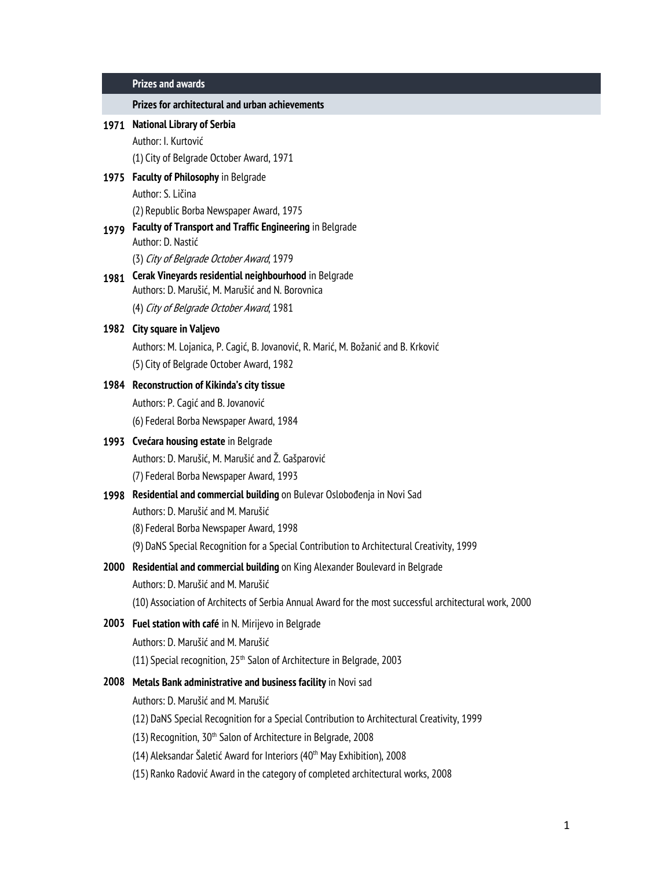| <b>Prizes and awards</b> |  |
|--------------------------|--|
|                          |  |

**Prizes for architectural and urban achievements**

Author: I. Kurtović (1) City of Belgrade October Award, 1971

## **1975 Faculty of Philosophy** in Belgrade

Author: S. Ličina

(2) Republic Borba Newspaper Award, 1975

## **1979 Faculty of Transport and Traffic Engineering** in Belgrade Author: D. Nastić

(3) City of Belgrade October Award, 1979

## **1981 Cerak Vineyards residential neighbourhood** in Belgrade Authors: D. Marušić, M. Marušić and N. Borovnica

(4) City of Belgrade October Award, 1981

## **1982 City square in Valjevo**

Authors: M. Lojanica, P. Cagić, B. Jovanović, R. Marić, M. Božanić and B. Krković (5) City of Belgrade October Award, 1982

## **1984 Reconstruction of Kikinda's city tissue**

Authors: P. Cagić and B. Jovanović (6) Federal Borba Newspaper Award, 1984

## **1993 Cvećara housing estate** in Belgrade

Authors: D. Marušić, M. Marušić and Ž. Gašparović

(7) Federal Borba Newspaper Award, 1993

## **1998 Residential and commercial building** on Bulevar Oslobođenja in Novi Sad

Authors: D. Marušić and M. Marušić

(8) Federal Borba Newspaper Award, 1998

(9) DaNS Special Recognition for a Special Contribution to Architectural Creativity, 1999

# **2000 Residential and commercial building** on King Alexander Boulevard in Belgrade

Authors: D. Marušić and M. Marušić

(10) Association of Architects of Serbia Annual Award for the most successful architectural work, 2000

## **2003 Fuel station with café** in N. Mirijevo in Belgrade

Authors: D. Marušić and M. Marušić

(11) Special recognition, 25<sup>th</sup> Salon of Architecture in Belgrade, 2003

## **2008 Metals Bank administrative and business facility** in Novi sad

Authors: D. Marušić and M. Marušić

- (12) DaNS Special Recognition for a Special Contribution to Architectural Creativity, 1999
- (13) Recognition, 30<sup>th</sup> Salon of Architecture in Belgrade, 2008
- (14) Aleksandar Šaletić Award for Interiors ( $40<sup>th</sup>$  May Exhibition), 2008
- (15) Ranko Radović Award in the category of completed architectural works, 2008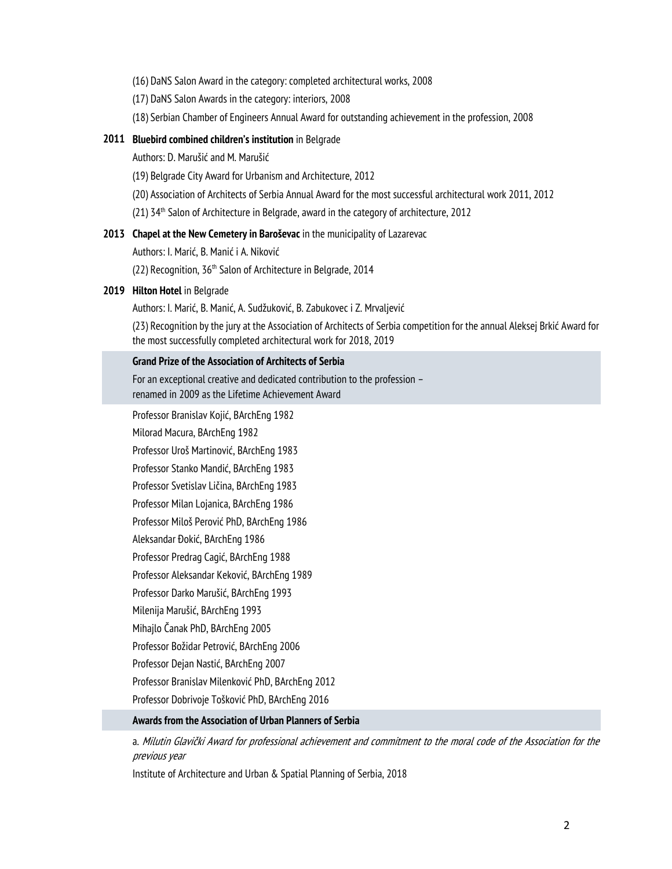- (16) DaNS Salon Award in the category: completed architectural works, 2008
- (17) DaNS Salon Awards in the category: interiors, 2008
- (18) Serbian Chamber of Engineers Annual Award for outstanding achievement in the profession, 2008

## **2011 Bluebird combined children's institution** in Belgrade

Authors: D. Marušić and M. Marušić

- (19) Belgrade City Award for Urbanism and Architecture, 2012
- (20) Association of Architects of Serbia Annual Award for the most successful architectural work 2011, 2012
- (21) 34<sup>th</sup> Salon of Architecture in Belgrade, award in the category of architecture, 2012

## **2013 Chapel at the New Cemetery in Baroševac** in the municipality of Lazarevac

Authors: I. Marić, B. Manić i A. Niković

(22) Recognition, 36<sup>th</sup> Salon of Architecture in Belgrade, 2014

#### **2019 Hilton Hotel** in Belgrade

Authors: I. Marić, B. Manić, A. Sudžuković, B. Zabukovec i Z. Mrvaljević

(23) Recognition by the jury at the Association of Architects of Serbia competition for the annual Aleksej Brkić Award for the most successfully completed architectural work for 2018, 2019

## **Grand Prize of the Association of Architects of Serbia**

For an exceptional creative and dedicated contribution to the profession – renamed in 2009 as the Lifetime Achievement Award

Professor Branislav Kojić, BArchEng 1982

Milorad Macura, BArchEng 1982

Professor Uroš Martinović, BArchEng 1983

Professor Stanko Mandić, BArchEng 1983

Professor Svetislav Ličina, BArchEng 1983

Professor Milan Lojanica, BArchEng 1986

Professor Miloš Perović PhD, BArchEng 1986

Aleksandar Đokić, BArchEng 1986

Professor Predrag Cagić, BArchEng 1988

Professor Aleksandar Keković, BArchEng 1989

Professor Darko Marušić, BArchEng 1993

Milenija Marušić, BArchEng 1993

Mihajlo Čanak PhD, BArchEng 2005

Professor Božidar Petrović, BArchEng 2006

Professor Dejan Nastić, BArchEng 2007

Professor Branislav Milenković PhD, BArchEng 2012

Professor Dobrivoje Tošković PhD, BArchEng 2016

#### **Awards from the Association of Urban Planners of Serbia**

а. Milutin Glavički Award for professional achievement and commitment to the moral code of the Association for the previous year

Institute of Architecture and Urban & Spatial Planning of Serbia, 2018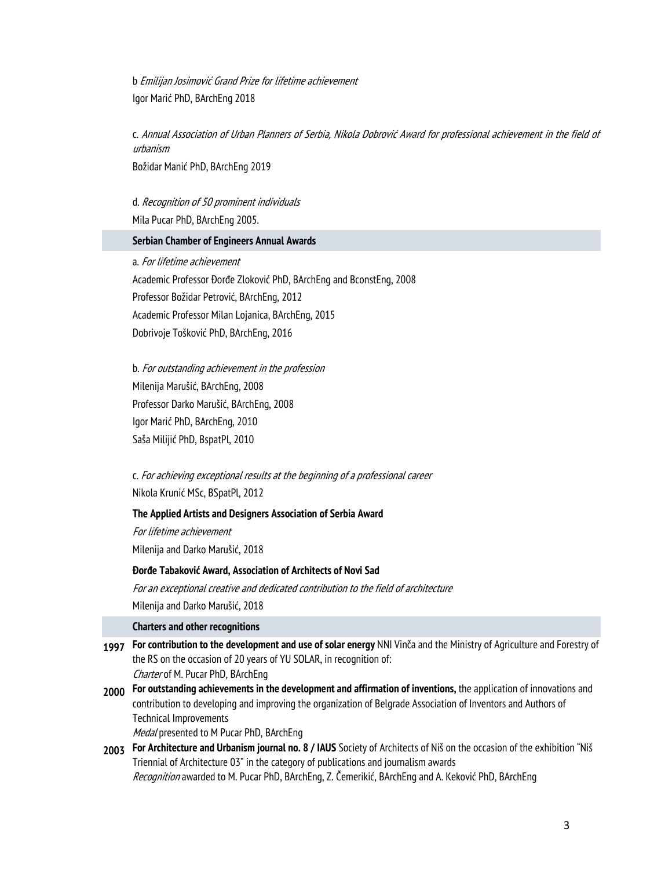b Emilijan Josimović Grand Prize for lifetime achievement Igor Marić PhD, BArchEng 2018

c. Annual Association of Urban Planners of Serbia, Nikola Dobrović Award for professional achievement in the field of urbanism

Božidar Manić PhD, BArchEng 2019

d. Recognition of 50 prominent individuals Mila Pucar PhD, BArchEng 2005.

## **Serbian Chamber of Engineers Annual Awards**

а. For lifetime achievement Academic Professor Đorđe Zloković PhD, BArchEng and BconstEng, 2008 Professor Božidar Petrović, BArchEng, 2012 Academic Professor Milan Lojanica, BArchEng, 2015 Dobrivoje Tošković PhD, BArchEng, 2016

b. For outstanding achievement in the profession Milenija Marušić, BArchEng, 2008 Professor Darko Marušić, BArchEng, 2008 Igor Marić PhD, BArchEng, 2010 Saša Milijić PhD, BspatPl, 2010

c. For achieving exceptional results at the beginning of a professional career Nikola Krunić MSc, BSpatPl, 2012

## **The Applied Artists and Designers Association of Serbia Award**

For lifetime achievement Milenija and Darko Marušić, 2018

## **Đorđe Tabaković Award, Association of Architects of Novi Sad**

For an exceptional creative and dedicated contribution to the field of architecture Milenija and Darko Marušić, 2018

## **Charters and other recognitions**

| 1997 | For contribution to the development and use of solar energy NNI Vinča and the Ministry of Agriculture and Forestry of |  |
|------|-----------------------------------------------------------------------------------------------------------------------|--|
|      | the RS on the occasion of 20 years of YU SOLAR, in recognition of:                                                    |  |
|      | Charter of M. Pucar PhD, BArchEng                                                                                     |  |
| 2000 | For outstanding achievements in the development and affirmation of inventions, the application of innovations and     |  |
|      | contribution to developing and improving the organization of Belgrade Association of Inventors and Authors of         |  |
|      | Technical Improvements                                                                                                |  |
|      | Medal presented to M Pucar PhD, BArchEng                                                                              |  |

**2003 For Architecture and Urbanism journal no. 8 / IAUS** Society of Architects of Niš on the occasion of the exhibition "Niš Triennial of Architecture 03" in the category of publications and journalism awards Recognition awarded to M. Pucar PhD, BArchEng, Z. Čemerikić, BArchEng and A. Keković PhD, BArchEng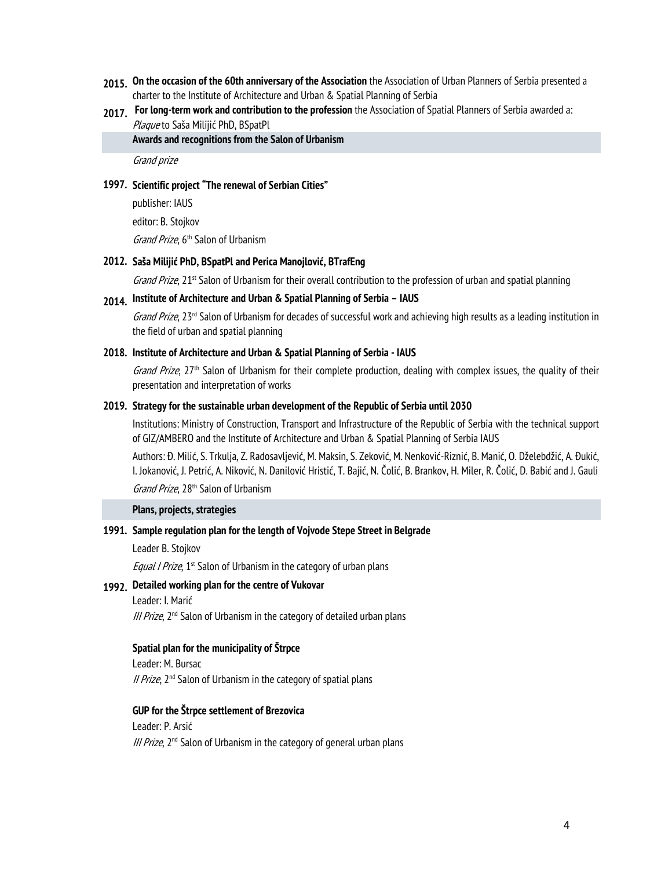- **2015. On the occasion of the 60th anniversary of the Association** the Association of Urban Planners of Serbia presented a charter to the Institute of Architecture and Urban & Spatial Planning of Serbia
- **2017. For long-term work and contribution to the profession** the Association of Spatial Planners of Serbia awarded a: Plaque to Saša Milijić PhD, BSpatPl

**Awards and recognitions from the Salon of Urbanism** 

Grand prize

#### **1997. Scientific project "The renewal of Serbian Cities"**

publisher: IAUS editor: B. Stojkov Grand Prize, 6<sup>th</sup> Salon of Urbanism

#### **2012. Saša Milijić PhD, BSpatPl and Perica Manojlović, BTrafEng**

Grand Prize, 21<sup>st</sup> Salon of Urbanism for their overall contribution to the profession of urban and spatial planning

## **2014. Institute of Architecture and Urban & Spatial Planning of Serbia – IAUS**

Grand Prize,  $23<sup>rd</sup>$  Salon of Urbanism for decades of successful work and achieving high results as a leading institution in the field of urban and spatial planning

#### **2018. Institute of Architecture and Urban & Spatial Planning of Serbia - IAUS**

Grand Prize,  $27<sup>th</sup>$  Salon of Urbanism for their complete production, dealing with complex issues, the quality of their presentation and interpretation of works

#### **2019. Strategy for the sustainable urban development of the Republic of Serbia until 2030**

Institutions: Ministry of Construction, Transport and Infrastructure of the Republic of Serbia with the technical support of GIZ/AMBERO and the Institute of Architecture and Urban & Spatial Planning of Serbia IAUS

Authors: Đ. Milić, S. Trkulja, Z. Radosavljević, M. Maksin, S. Zeković, M. Nenković-Riznić, B. Manić, O. Dželebdžić, A. Đukić, I. Jokanović, J. Petrić, A. Niković, N. Danilović Hristić, T. Bajić, N. Čolić, B. Brankov, H. Miler, R. Čolić, D. Babić and J. Gauli Grand Prize, 28<sup>th</sup> Salon of Urbanism

#### **Plans, projects, strategies**

#### **1991. Sample regulation plan for the length of Vojvode Stepe Street in Belgrade**

Leader B. Stojkov

*Equal I Prize*,  $1^{st}$  Salon of Urbanism in the category of urban plans

#### **1992. Detailed working plan for the centre of Vukovar**

Leader: I. Marić III Prize, 2<sup>nd</sup> Salon of Urbanism in the category of detailed urban plans

#### **Spatial plan for the municipality of Štrpce**

Leader: М. Bursac II Prize,  $2<sup>nd</sup>$  Salon of Urbanism in the category of spatial plans

# **GUP for the Štrpce settlement of Brezovica**  Leader: P. Arsić

III Prize, 2<sup>nd</sup> Salon of Urbanism in the category of general urban plans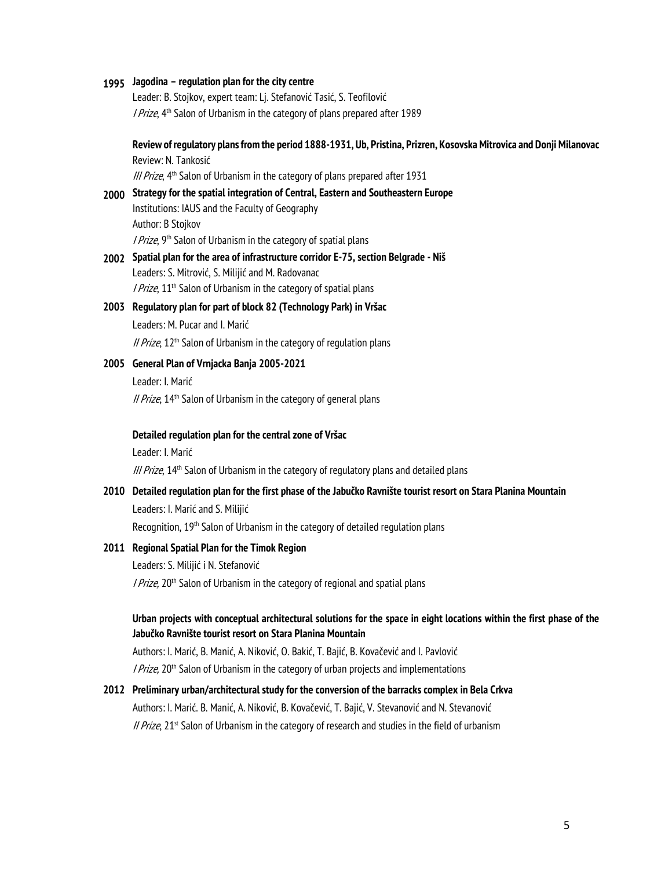## **1995 Jagodina – regulation plan for the city centre**

Leader: B. Stojkov, expert team: Lj. Stefanović Tasić, S. Teofilović I Prize, 4<sup>th</sup> Salon of Urbanism in the category of plans prepared after 1989

## **Review of regulatory plans from the period 1888-1931, Ub, Pristina, Prizren, Kosovska Mitrovica and Donji Milanovac** Review: N. Tankosić

III Prize, 4<sup>th</sup> Salon of Urbanism in the category of plans prepared after 1931

- **2000 Strategy for the spatial integration of Central, Eastern and Southeastern Europe**  Institutions: IAUS and the Faculty of Geography Author: B Stojkov I Prize, 9<sup>th</sup> Salon of Urbanism in the category of spatial plans
- **2002 Spatial plan for the area of infrastructure corridor E-75, section Belgrade Niš**  Leaders: S. Mitrović, S. Milijić and M. Radovanac *I Prize*,  $11<sup>th</sup>$  Salon of Urbanism in the category of spatial plans

#### **2003 Regulatory plan for part of block 82 (Technology Park) in Vršac**

Leaders: М. Pucar and I. Marić II Prize,  $12<sup>th</sup>$  Salon of Urbanism in the category of regulation plans

## **2005 General Plan of Vrnjacka Banja 2005-2021**

Leader: I. Marić II Prize,  $14<sup>th</sup>$  Salon of Urbanism in the category of general plans

#### **Detailed regulation plan for the central zone of Vršac**

Leader: I. Marić III Prize, 14<sup>th</sup> Salon of Urbanism in the category of regulatory plans and detailed plans

## **2010 Detailed regulation plan for the first phase of the Jabučko Ravnište tourist resort on Stara Planina Mountain**

Leaders: I. Marić and S. Milijić

Recognition, 19<sup>th</sup> Salon of Urbanism in the category of detailed regulation plans

#### **2011 Regional Spatial Plan for the Timok Region**

Leaders: S. Milijić i N. Stefanović I Prize, 20<sup>th</sup> Salon of Urbanism in the category of regional and spatial plans

## **Urban projects with conceptual architectural solutions for the space in eight locations within the first phase of the Jabučko Ravnište tourist resort on Stara Planina Mountain**

Authors: I. Marić, B. Manić, A. Niković, O. Bakić, T. Bajić, B. Kovačević and I. Pavlović I Prize, 20<sup>th</sup> Salon of Urbanism in the category of urban projects and implementations

## **2012 Preliminary urban/architectural study for the conversion of the barracks complex in Bela Crkva**

Authors: I. Marić. B. Manić, A. Niković, B. Kovačević, T. Bajić, V. Stevanović and N. Stevanović *II Prize*,  $21<sup>st</sup>$  Salon of Urbanism in the category of research and studies in the field of urbanism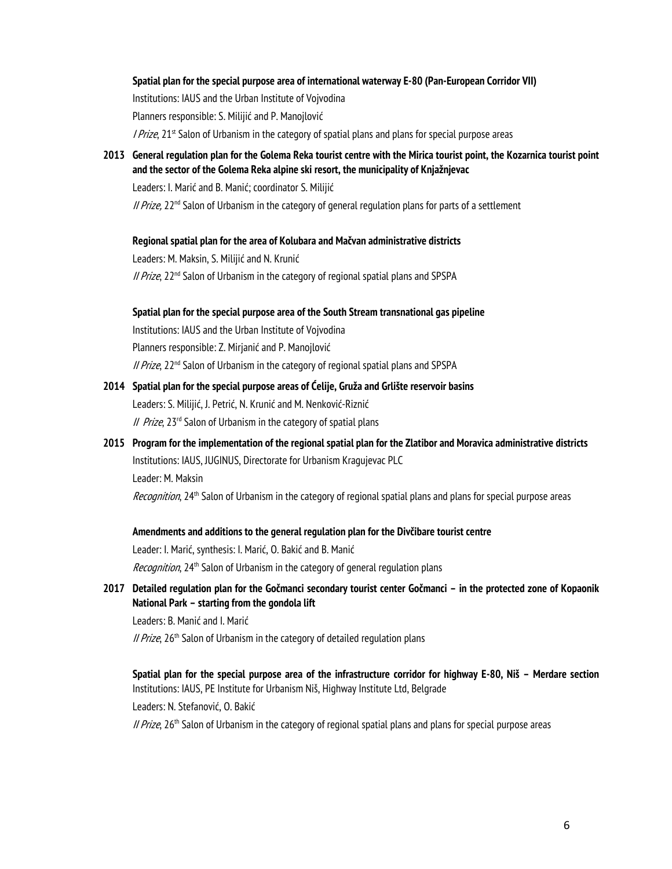## **Spatial plan for the special purpose area of international waterway E-80 (Pan-European Corridor VII)**

Institutions: IAUS and the Urban Institute of Vojvodina Planners responsible: S. Milijić and P. Manojlović

*I Prize*,  $21^{st}$  Salon of Urbanism in the category of spatial plans and plans for special purpose areas

**2013 General regulation plan for the Golema Reka tourist centre with the Mirica tourist point, the Kozarnica tourist point and the sector of the Golema Reka alpine ski resort, the municipality of Knjažnjevac** 

Leaders: I. Marić and B. Manić; coordinator S. Milijić

II Prize,  $22^{nd}$  Salon of Urbanism in the category of general regulation plans for parts of a settlement

## **Regional spatial plan for the area of Kolubara and Mačvan administrative districts**

Leaders: M. Maksin, S. Milijić and N. Krunić  $II$  Prize, 22<sup>nd</sup> Salon of Urbanism in the category of regional spatial plans and SPSPA

**Spatial plan for the special purpose area of the South Stream transnational gas pipeline**  Institutions: IAUS and the Urban Institute of Vojvodina Planners responsible: Z. Mirjanić and P. Manojlović

// Prize, 22<sup>nd</sup> Salon of Urbanism in the category of regional spatial plans and SPSPA

- **2014 Spatial plan for the special purpose areas of Ćelije, Gruža and Grlište reservoir basins**  Leaders: S. Milijić, J. Petrić, N. Krunić and M. Nenković-Riznić II Prize,  $23<sup>rd</sup>$  Salon of Urbanism in the category of spatial plans
- **2015 Program for the implementation of the regional spatial plan for the Zlatibor and Moravica administrative districts**  Institutions: IAUS, JUGINUS, Directorate for Urbanism Kragujevac PLC Leader: М. Maksin

Recognition, 24<sup>th</sup> Salon of Urbanism in the category of regional spatial plans and plans for special purpose areas

## **Amendments and additions to the general regulation plan for the Divčibare tourist centre**

Leader: I. Marić, synthesis: I. Marić, O. Bakić and B. Manić Recognition, 24<sup>th</sup> Salon of Urbanism in the category of general regulation plans

**2017 Detailed regulation plan for the Gočmanci secondary tourist center Gočmanci – in the protected zone of Kopaonik National Park – starting from the gondola lift** 

Leaders: B. Manić and I. Marić

II Prize, 26<sup>th</sup> Salon of Urbanism in the category of detailed regulation plans

**Spatial plan for the special purpose area of the infrastructure corridor for highway Е-80, Niš – Merdare section**  Institutions: IAUS, PE Institute for Urbanism Niš, Highway Institute Ltd, Belgrade Leaders: N. Stefanović, O. Bakić

II Prize, 26<sup>th</sup> Salon of Urbanism in the category of regional spatial plans and plans for special purpose areas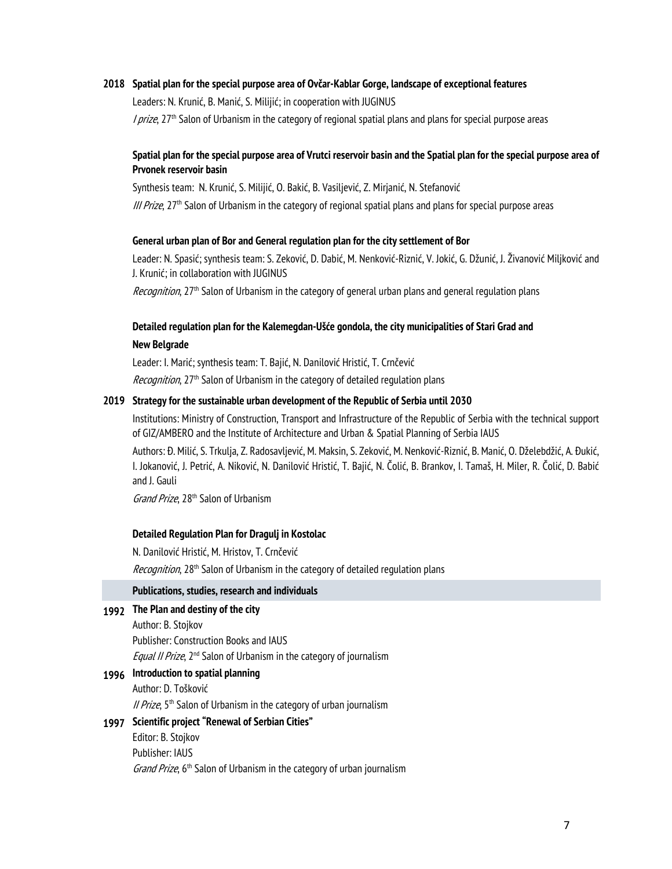## **2018 Spatial plan for the special purpose area of Ovčar-Kablar Gorge, landscape of exceptional features**

Leaders: N. Krunić, B. Manić, S. Milijić; in cooperation with JUGINUS I prize, 27<sup>th</sup> Salon of Urbanism in the category of regional spatial plans and plans for special purpose areas

## **Spatial plan for the special purpose area of Vrutci reservoir basin and the Spatial plan for the special purpose area of Prvonek reservoir basin**

Synthesis team: N. Krunić, S. Milijić, O. Bakić, B. Vasiljević, Z. Mirjanić, N. Stefanović III Prize, 27<sup>th</sup> Salon of Urbanism in the category of regional spatial plans and plans for special purpose areas

#### **General urban plan of Bor and General regulation plan for the city settlement of Bor**

Leader: N. Spasić; synthesis team: S. Zeković, D. Dabić, M. Nenković-Riznić, V. Jokić, G. Džunić, J. Živanović Miljković and J. Krunić; in collaboration with JUGINUS

Recognition, 27<sup>th</sup> Salon of Urbanism in the category of general urban plans and general regulation plans

## **Detailed regulation plan for the Kalemegdan-Ušće gondola, the city municipalities of Stari Grad and New Belgrade**

Leader: I. Marić; synthesis team: T. Bajić, N. Danilović Hristić, T. Crnčević

Recognition, 27<sup>th</sup> Salon of Urbanism in the category of detailed regulation plans

## **2019 Strategy for the sustainable urban development of the Republic of Serbia until 2030**

Institutions: Ministry of Construction, Transport and Infrastructure of the Republic of Serbia with the technical support of GIZ/AMBERO and the Institute of Architecture and Urban & Spatial Planning of Serbia IAUS

Authors: Đ. Milić, S. Trkulja, Z. Radosavljević, M. Maksin, S. Zeković, M. Nenković-Riznić, B. Manić, O. Dželebdžić, A. Đukić, I. Jokanović, J. Petrić, A. Niković, N. Danilović Hristić, T. Bajić, N. Čolić, B. Brankov, I. Tamaš, H. Miler, R. Čolić, D. Babić and J. Gauli

Grand Prize, 28<sup>th</sup> Salon of Urbanism

#### **Detailed Regulation Plan for Dragulj in Kostolac**

N. Danilović Hristić, M. Hristov, T. Crnčević

Recognition, 28<sup>th</sup> Salon of Urbanism in the category of detailed regulation plans

#### **Publications, studies, research and individuals**

## **1992 The Plan and destiny of the city**

Author: B. Stojkov Publisher: Construction Books and IAUS Equal II Prize, 2<sup>nd</sup> Salon of Urbanism in the category of journalism

## **1996 Introduction to spatial planning**

Author: D. Tošković

*II Prize*,  $5<sup>th</sup>$  Salon of Urbanism in the category of urban journalism

## **1997 Scientific project "Renewal of Serbian Cities"**

Editor: B. Stojkov Publisher: IAUS Grand Prize, 6<sup>th</sup> Salon of Urbanism in the category of urban journalism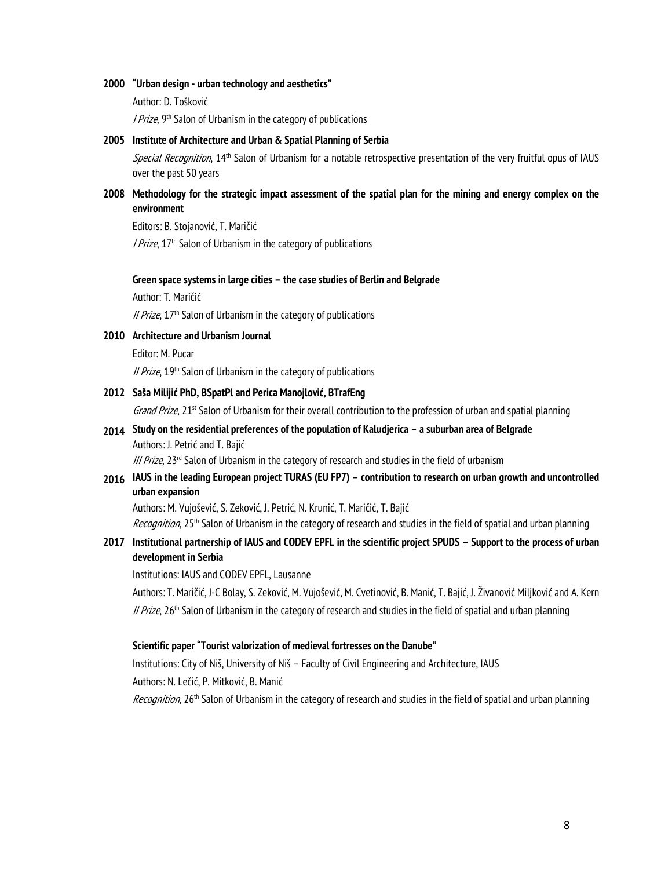#### **2000 "Urban design - urban technology and aesthetics"**

Author: D. Tošković

I Prize, 9<sup>th</sup> Salon of Urbanism in the category of publications

#### **2005 Institute of Architecture and Urban & Spatial Planning of Serbia**

Special Recognition, 14<sup>th</sup> Salon of Urbanism for a notable retrospective presentation of the very fruitful opus of IAUS over the past 50 years

## **2008 Methodology for the strategic impact assessment of the spatial plan for the mining and energy complex on the environment**

Editors: B. Stojanović, T. Maričić

*I Prize*,  $17<sup>th</sup>$  Salon of Urbanism in the category of publications

#### **Green space systems in large cities – the case studies of Berlin and Belgrade**

Author: Т. Maričić

// Prize, 17<sup>th</sup> Salon of Urbanism in the category of publications

#### **2010 Architecture and Urbanism Journal**

Editor: М. Pucar

*II Prize*, 19<sup>th</sup> Salon of Urbanism in the category of publications

#### **2012 Saša Milijić PhD, BSpatPl and Perica Manojlović, BTrafEng**

Grand Prize,  $21<sup>st</sup>$  Salon of Urbanism for their overall contribution to the profession of urban and spatial planning

## **2014 Study on the residential preferences of the population of Kaludjerica – a suburban area of Belgrade**  Authors: J. Petrić and T. Bajić

III Prize, 23<sup>rd</sup> Salon of Urbanism in the category of research and studies in the field of urbanism

## **2016 IAUS in the leading European project TURAS (EU FP7) – contribution to research on urban growth and uncontrolled urban expansion**

Authors: M. Vujošević, S. Zeković, J. Petrić, N. Krunić, T. Maričić, T. Bajić

Recognition, 25<sup>th</sup> Salon of Urbanism in the category of research and studies in the field of spatial and urban planning

## **2017 Institutional partnership of IAUS and CODEV EPFL in the scientific project SPUDS – Support to the process of urban development in Serbia**

Institutions: IAUS and CODEV EPFL, Lausanne

Authors: T. Maričić, J-C Bolay, S. Zeković, M. Vujošević, M. Cvetinović, B. Manić, T. Bajić, J. Živanović Miljković and A. Kern II Prize, 26<sup>th</sup> Salon of Urbanism in the category of research and studies in the field of spatial and urban planning

#### **Scientific paper "Tourist valorization of medieval fortresses on the Danube"**

Institutions: City of Niš, University of Niš – Faculty of Civil Engineering and Architecture, IAUS Authors: N. Lečić, P. Mitković, B. Manić

Recognition, 26<sup>th</sup> Salon of Urbanism in the category of research and studies in the field of spatial and urban planning